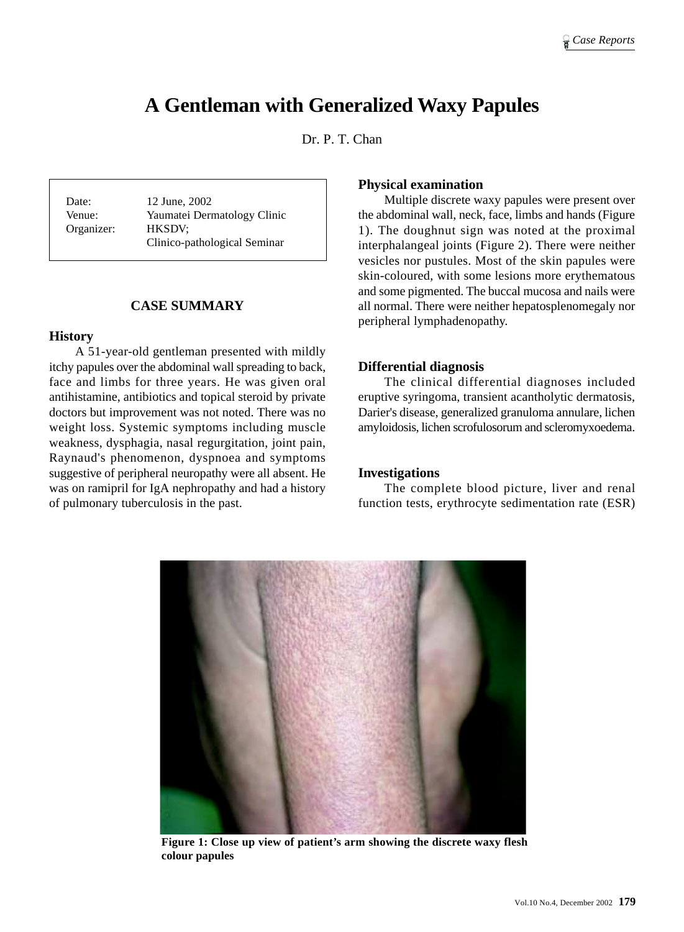# **A Gentleman with Generalized Waxy Papules**

Dr. P. T. Chan

Date: 12 June, 2002 Venue: Yaumatei Dermatology Clinic Organizer: HKSDV; Clinico-pathological Seminar

# **CASE SUMMARY**

#### **History**

A 51-year-old gentleman presented with mildly itchy papules over the abdominal wall spreading to back, face and limbs for three years. He was given oral antihistamine, antibiotics and topical steroid by private doctors but improvement was not noted. There was no weight loss. Systemic symptoms including muscle weakness, dysphagia, nasal regurgitation, joint pain, Raynaud's phenomenon, dyspnoea and symptoms suggestive of peripheral neuropathy were all absent. He was on ramipril for IgA nephropathy and had a history of pulmonary tuberculosis in the past.

# **Physical examination**

Multiple discrete waxy papules were present over the abdominal wall, neck, face, limbs and hands (Figure 1). The doughnut sign was noted at the proximal interphalangeal joints (Figure 2). There were neither vesicles nor pustules. Most of the skin papules were skin-coloured, with some lesions more erythematous and some pigmented. The buccal mucosa and nails were all normal. There were neither hepatosplenomegaly nor peripheral lymphadenopathy.

#### **Differential diagnosis**

The clinical differential diagnoses included eruptive syringoma, transient acantholytic dermatosis, Darier's disease, generalized granuloma annulare, lichen amyloidosis, lichen scrofulosorum and scleromyxoedema.

# **Investigations**

The complete blood picture, liver and renal function tests, erythrocyte sedimentation rate (ESR)



**Figure 1: Close up view of patient's arm showing the discrete waxy flesh colour papules**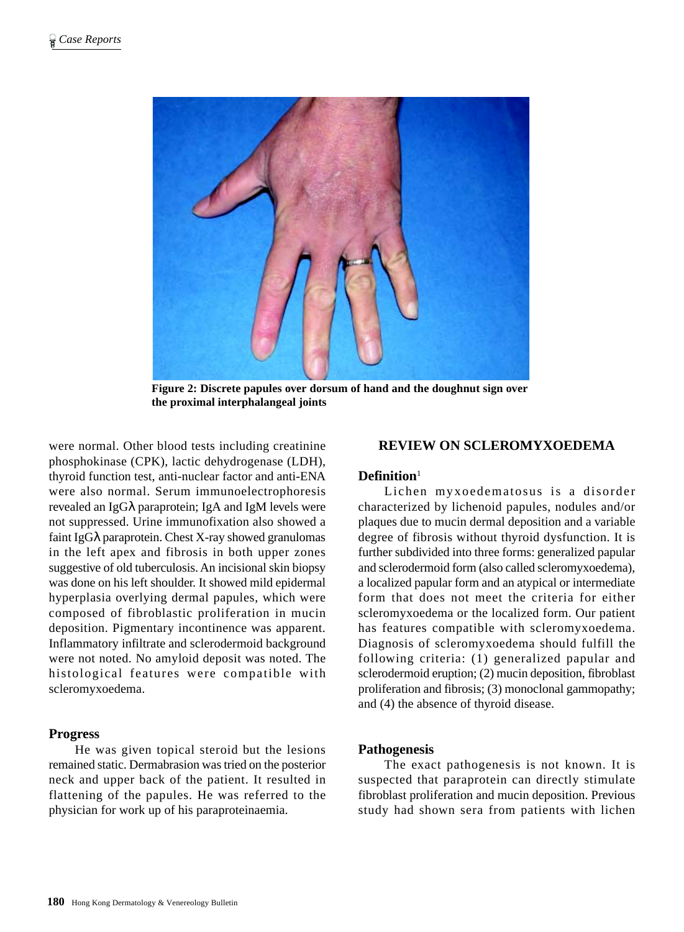

**Figure 2: Discrete papules over dorsum of hand and the doughnut sign over the proximal interphalangeal joints**

were normal. Other blood tests including creatinine phosphokinase (CPK), lactic dehydrogenase (LDH), thyroid function test, anti-nuclear factor and anti-ENA were also normal. Serum immunoelectrophoresis revealed an IgGλ paraprotein; IgA and IgM levels were not suppressed. Urine immunofixation also showed a faint IgGλ paraprotein. Chest X-ray showed granulomas in the left apex and fibrosis in both upper zones suggestive of old tuberculosis. An incisional skin biopsy was done on his left shoulder. It showed mild epidermal hyperplasia overlying dermal papules, which were composed of fibroblastic proliferation in mucin deposition. Pigmentary incontinence was apparent. Inflammatory infiltrate and sclerodermoid background were not noted. No amyloid deposit was noted. The histological features were compatible with scleromyxoedema.

#### **Progress**

He was given topical steroid but the lesions remained static. Dermabrasion was tried on the posterior neck and upper back of the patient. It resulted in flattening of the papules. He was referred to the physician for work up of his paraproteinaemia.

#### **REVIEW ON SCLEROMYXOEDEMA**

#### **Definition**<sup>1</sup>

Lichen myxoedematosus is a disorder characterized by lichenoid papules, nodules and/or plaques due to mucin dermal deposition and a variable degree of fibrosis without thyroid dysfunction. It is further subdivided into three forms: generalized papular and sclerodermoid form (also called scleromyxoedema), a localized papular form and an atypical or intermediate form that does not meet the criteria for either scleromyxoedema or the localized form. Our patient has features compatible with scleromyxoedema. Diagnosis of scleromyxoedema should fulfill the following criteria: (1) generalized papular and sclerodermoid eruption; (2) mucin deposition, fibroblast proliferation and fibrosis; (3) monoclonal gammopathy; and (4) the absence of thyroid disease.

#### **Pathogenesis**

The exact pathogenesis is not known. It is suspected that paraprotein can directly stimulate fibroblast proliferation and mucin deposition. Previous study had shown sera from patients with lichen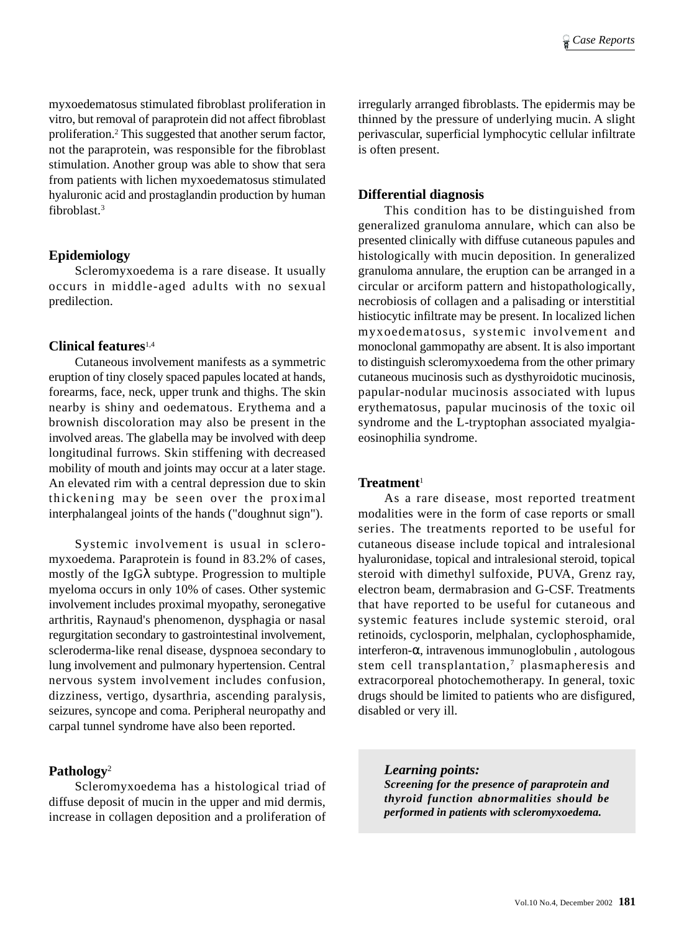myxoedematosus stimulated fibroblast proliferation in vitro, but removal of paraprotein did not affect fibroblast proliferation.2 This suggested that another serum factor, not the paraprotein, was responsible for the fibroblast stimulation. Another group was able to show that sera from patients with lichen myxoedematosus stimulated hyaluronic acid and prostaglandin production by human fibroblast.3

#### **Epidemiology**

Scleromyxoedema is a rare disease. It usually occurs in middle-aged adults with no sexual predilection.

#### **Clinical features**1,4

Cutaneous involvement manifests as a symmetric eruption of tiny closely spaced papules located at hands, forearms, face, neck, upper trunk and thighs. The skin nearby is shiny and oedematous. Erythema and a brownish discoloration may also be present in the involved areas. The glabella may be involved with deep longitudinal furrows. Skin stiffening with decreased mobility of mouth and joints may occur at a later stage. An elevated rim with a central depression due to skin thickening may be seen over the proximal interphalangeal joints of the hands ("doughnut sign").

Systemic involvement is usual in scleromyxoedema. Paraprotein is found in 83.2% of cases, mostly of the IgGλ subtype. Progression to multiple myeloma occurs in only 10% of cases. Other systemic involvement includes proximal myopathy, seronegative arthritis, Raynaud's phenomenon, dysphagia or nasal regurgitation secondary to gastrointestinal involvement, scleroderma-like renal disease, dyspnoea secondary to lung involvement and pulmonary hypertension. Central nervous system involvement includes confusion, dizziness, vertigo, dysarthria, ascending paralysis, seizures, syncope and coma. Peripheral neuropathy and carpal tunnel syndrome have also been reported.

#### **Pathology**<sup>2</sup>

Scleromyxoedema has a histological triad of diffuse deposit of mucin in the upper and mid dermis, increase in collagen deposition and a proliferation of irregularly arranged fibroblasts. The epidermis may be thinned by the pressure of underlying mucin. A slight perivascular, superficial lymphocytic cellular infiltrate is often present.

#### **Differential diagnosis**

This condition has to be distinguished from generalized granuloma annulare, which can also be presented clinically with diffuse cutaneous papules and histologically with mucin deposition. In generalized granuloma annulare, the eruption can be arranged in a circular or arciform pattern and histopathologically, necrobiosis of collagen and a palisading or interstitial histiocytic infiltrate may be present. In localized lichen myxoedematosus, systemic involvement and monoclonal gammopathy are absent. It is also important to distinguish scleromyxoedema from the other primary cutaneous mucinosis such as dysthyroidotic mucinosis, papular-nodular mucinosis associated with lupus erythematosus, papular mucinosis of the toxic oil syndrome and the L-tryptophan associated myalgiaeosinophilia syndrome.

#### **Treatment**<sup>1</sup>

As a rare disease, most reported treatment modalities were in the form of case reports or small series. The treatments reported to be useful for cutaneous disease include topical and intralesional hyaluronidase, topical and intralesional steroid, topical steroid with dimethyl sulfoxide, PUVA, Grenz ray, electron beam, dermabrasion and G-CSF. Treatments that have reported to be useful for cutaneous and systemic features include systemic steroid, oral retinoids, cyclosporin, melphalan, cyclophosphamide, interferon-α, intravenous immunoglobulin , autologous stem cell transplantation,<sup>7</sup> plasmapheresis and extracorporeal photochemotherapy. In general, toxic drugs should be limited to patients who are disfigured, disabled or very ill.

*Learning points: Screening for the presence of paraprotein and thyroid function abnormalities should be performed in patients with scleromyxoedema.*